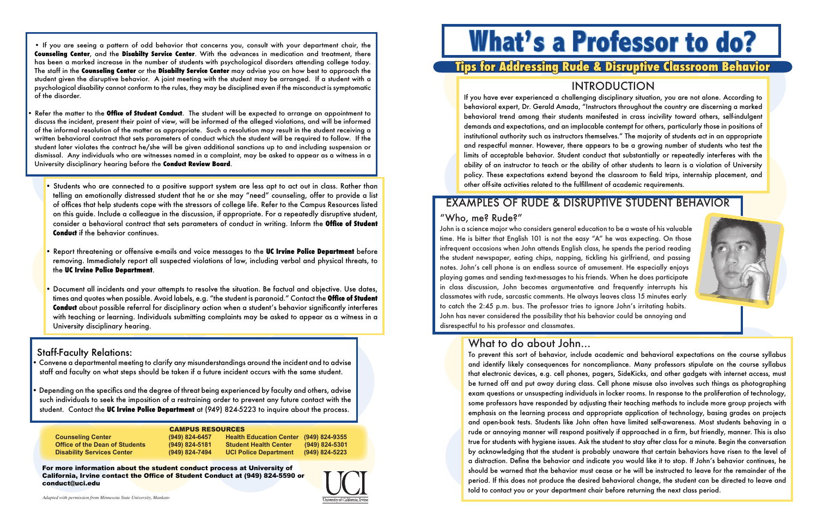# **What's a Professor to do?**

# **Tips for Addressing Rude & Disruptive Classroom Behavior**

# INTRODUCTION



If you have ever experienced a challenging disciplinary situation, you are not alone. According to behavioral expert, Dr. Gerald Amada, "Instructors throughout the country are discerning a marked behavioral trend among their students manifested in crass incivility toward others, self-indulgent demands and expectations, and an implacable contempt for others, particularly those in positions of institutional authority such as instructors themselves." The majority of students act in an appropriate and respectful manner. However, there appears to be a growing number of students who test the limits of acceptable behavior. Student conduct that substantially or repeatedly interferes with the ability of an instructor to teach or the ability of other students to learn is a violation of University policy. These expectations extend beyond the classroom to field trips, internship placement, and other off-site activities related to the fulfillment of academic requirements.

# EXAMPLES OF RUDE & DISRUPTIVE STUDENT BEHAVIOR

## "Who, me? Rude?"

John is a science major who considers general education to be a waste of his valuable time. He is bitter that English 101 is not the easy "A" he was expecting. On those infrequent occasions when John attends English class, he spends the period reading the student newspaper, eating chips, napping, tickling his girlfriend, and passing notes. John's cell phone is an endless source of amusement. He especially enjoys playing games and sending text-messages to his friends. When he does participate in class discussion, John becomes argumentative and frequently interrupts his classmates with rude, sarcastic comments. He always leaves class 15 minutes early to catch the 2:45 p.m. bus. The professor tries to ignore John's irritating habits. John has never considered the possibility that his behavior could be annoying and disrespectful to his professor and classmates.

# What to do about John...

• If you are seeing a pattern of odd behavior that concerns you, consult with your department chair, the **Counseling Center**, and the **Disabilty Service Center**. With the advances in medication and treatment, there has been a marked increase in the number of students with psychological disorders attending college today. The staff in the **Counseling Center** or the **Disabilty Service Center** may advise you on how best to approach the student given the disruptive behavior. A joint meeting with the student may be arranged. If a student with a psychological disability cannot conform to the rules, they may be disciplined even if the misconduct is symptomatic of the disorder.

For more information about the student conduct process at University of California, Irvine contact the Office of Student Conduct at (949) 824-5590 or conduct@uci.edu

*Adapted with permission from Minnesota State University, Mankato* 



| <b>CAMPUS RESOURCES</b> |                    |                                |                    |
|-------------------------|--------------------|--------------------------------|--------------------|
| ∶enter                  | $(949) 824 - 6457$ | <b>Health Education Center</b> | $(949) 824 - 9355$ |
| Dean of Students        | $(949) 824 - 5181$ | <b>Student Health Center</b>   | $(949) 824 - 5301$ |
| vices Center            | $(949) 824 - 7494$ | <b>UCI Police Department</b>   | $(949) 824 - 5223$ |

- Refer the matter to the **Office of Student Conduct**. The student will be expected to arrange an appointment to discuss the incident, present their point of view, will be informed of the alleged violations, and will be informed of the informal resolution of the matter as appropriate. Such a resolution may result in the student receiving a written behavioral contract that sets parameters of conduct which the student will be required to follow. If the student later violates the contract he/she will be given additional sanctions up to and including suspension or dismissal. Any individuals who are witnesses named in a complaint, may be asked to appear as a witness in a University disciplinary hearing before the **Conduct Review Board**.
	- Students who are connected to a positive support system are less apt to act out in class. Rather than telling an emotionally distressed student that he or she may "need" counseling, offer to provide a list of offices that help students cope with the stressors of college life. Refer to the Campus Resources listed on this guide. Include a colleague in the discussion, if appropriate. For a repeatedly disruptive student, consider a behavioral contract that sets parameters of conduct in writing. Inform the **Office of Student Conduct** if the behavior continues.
	- Report threatening or offensive e-mails and voice messages to the **UC Irvine Police Department** before removing. Immediately report all suspected violations of law, including verbal and physical threats, to the **UC Irvine Police Department**.
	- Document all incidents and your attempts to resolve the situation. Be factual and objective. Use dates, times and quotes when possible. Avoid labels, e.g. "the student is paranoid." Contact the **Office of Student Conduct** about possible referral for disciplinary action when a student's behavior significantly interferes with teaching or learning. Individuals submitting complaints may be asked to appear as a witness in a University disciplinary hearing.

#### Staff-Faculty Relations:

**Counseling C Office of the Disability Ser** 

• Convene a departmental meeting to clarify any misunderstandings around the incident and to advise staff and faculty on what steps should be taken if a future incident occurs with the same student.

• Depending on the specifics and the degree of threat being experienced by faculty and others, advise such individuals to seek the imposition of a restraining order to prevent any future contact with the student. Contact the **UC Irvine Police Department** at (949) 824-5223 to inquire about the process.

To prevent this sort of behavior, include academic and behavioral expectations on the course syllabus and identify likely consequences for noncompliance. Many professors stipulate on the course syllabus that electronic devices, e.g. cell phones, pagers, SideKicks, and other gadgets with internet access, must be turned off and put away during class. Cell phone misuse also involves such things as photographing exam questions or unsuspecting individuals in locker rooms. In response to the proliferation of technology, some professors have responded by adjusting their teaching methods to include more group projects with emphasis on the learning process and appropriate application of technology, basing grades on projects and open-book tests. Students like John often have limited self-awareness. Most students behaving in a rude or annoying manner will respond positively if approached in a firm, but friendly, manner. This is also true for students with hygiene issues. Ask the student to stay after class for a minute. Begin the conversation by acknowledging that the student is probably unaware that certain behaviors have risen to the level of a distraction. Define the behavior and indicate you would like it to stop. If John's behavior continues, he should be warned that the behavior must cease or he will be instructed to leave for the remainder of the period. If this does not produce the desired behavioral change, the student can be directed to leave and told to contact you or your department chair before returning the next class period.